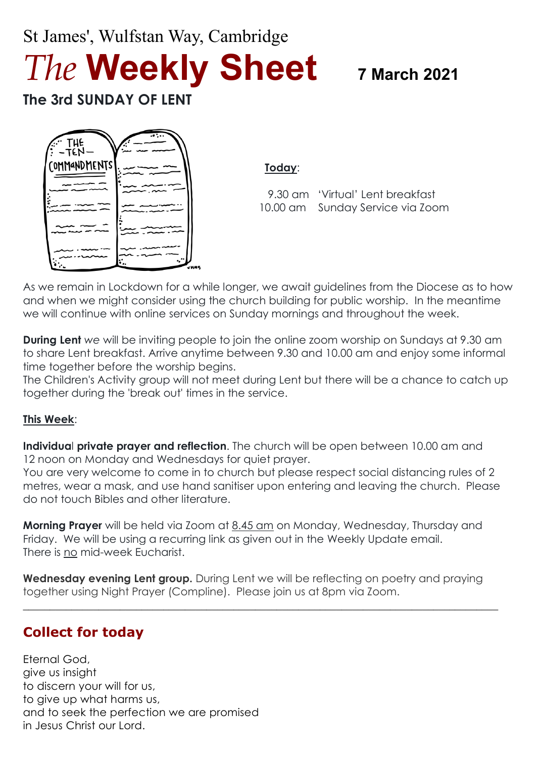# St James', Wulfstan Way, Cambridge *The* **Weekly Sheet 7 March <sup>2021</sup>**

**The 3rd SUNDAY OF LENT**



#### **Today**:

 9.30 am 'Virtual' Lent breakfast 10.00 am Sunday Service via Zoom

As we remain in Lockdown for a while longer, we await guidelines from the Diocese as to how and when we might consider using the church building for public worship. In the meantime we will continue with online services on Sunday mornings and throughout the week.

**During Lent** *we* will be inviting people to join the online zoom worship on Sundays at 9.30 am to share Lent breakfast. Arrive anytime between 9.30 and 10.00 am and enjoy some informal time together before the worship begins.

The Children's Activity group will not meet during Lent but there will be a chance to catch up together during the 'break out' times in the service.

#### **This Week**:

**Individua**l **private prayer and reflection**. The church will be open between 10.00 am and 12 noon on Monday and Wednesdays for quiet prayer.

You are very welcome to come in to church but please respect social distancing rules of 2 metres, wear a mask, and use hand sanitiser upon entering and leaving the church. Please do not touch Bibles and other literature.

**Morning Prayer** will be held via Zoom at 8.45 am on Monday, Wednesday, Thursday and Friday. We will be using a recurring link as given out in the Weekly Update email. There is no mid-week Eucharist.

**Wednesday evening Lent group.** During Lent we will be reflecting on poetry and praying together using Night Prayer (Compline). Please join us at 8pm via Zoom.

 $\_$  , and the set of the set of the set of the set of the set of the set of the set of the set of the set of the set of the set of the set of the set of the set of the set of the set of the set of the set of the set of th

# **Collect for today**

Eternal God, give us insight to discern your will for us, to give up what harms us, and to seek the perfection we are promised in Jesus Christ our Lord.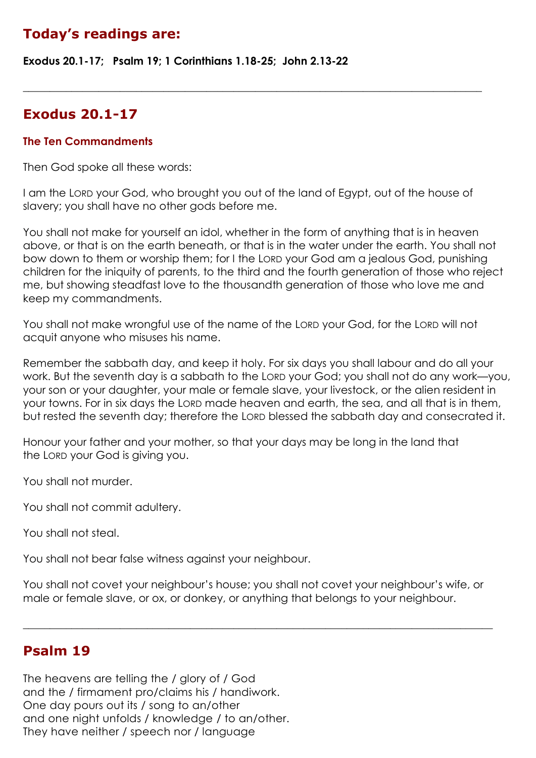# **Today's readings are:**

**Exodus 20.1-17; Psalm 19; 1 Corinthians 1.18-25; John 2.13-22**

## **Exodus 20.1-17**

#### **The Ten Commandments**

Then God spoke all these words:

I am the LORD your God, who brought you out of the land of Egypt, out of the house of slavery; you shall have no other gods before me.

 $\_$  , and the set of the set of the set of the set of the set of the set of the set of the set of the set of the set of the set of the set of the set of the set of the set of the set of the set of the set of the set of th

You shall not make for yourself an idol, whether in the form of anything that is in heaven above, or that is on the earth beneath, or that is in the water under the earth. You shall not bow down to them or worship them; for I the LORD your God am a jealous God, punishing children for the iniquity of parents, to the third and the fourth generation of those who reject me, but showing steadfast love to the thousandth generation of those who love me and keep my commandments.

You shall not make wrongful use of the name of the LORD your God, for the LORD will not acquit anyone who misuses his name.

Remember the sabbath day, and keep it holy. For six days you shall labour and do all your work. But the seventh day is a sabbath to the LORD your God; you shall not do any work—you, your son or your daughter, your male or female slave, your livestock, or the alien resident in your towns. For in six days the LORD made heaven and earth, the sea, and all that is in them, but rested the seventh day; therefore the LORD blessed the sabbath day and consecrated it.

Honour your father and your mother, so that your days may be long in the land that the LORD your God is giving you.

You shall not murder.

You shall not commit adultery.

You shall not steal.

You shall not bear false witness against your neighbour.

You shall not covet your neighbour's house; you shall not covet your neighbour's wife, or male or female slave, or ox, or donkey, or anything that belongs to your neighbour.

 $\_$  , and the set of the set of the set of the set of the set of the set of the set of the set of the set of the set of the set of the set of the set of the set of the set of the set of the set of the set of the set of th

### **Psalm 19**

The heavens are telling the / glory of / God and the / firmament pro/claims his / handiwork. One day pours out its / song to an/other and one night unfolds / knowledge / to an/other. They have neither / speech nor / language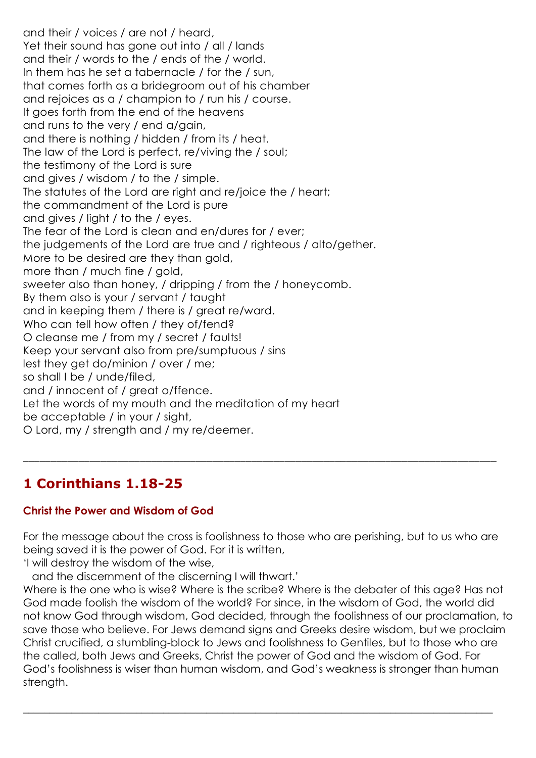and their / voices / are not / heard, Yet their sound has gone out into / all / lands and their / words to the / ends of the / world. In them has he set a tabernacle / for the / sun, that comes forth as a bridegroom out of his chamber and rejoices as a / champion to / run his / course. It goes forth from the end of the heavens and runs to the very / end a/gain, and there is nothing / hidden / from its / heat. The law of the Lord is perfect, re/viving the / soul; the testimony of the Lord is sure and gives / wisdom / to the / simple. The statutes of the Lord are right and re/joice the / heart; the commandment of the Lord is pure and gives / light / to the / eyes. The fear of the Lord is clean and en/dures for / ever; the judgements of the Lord are true and / righteous / alto/gether. More to be desired are they than gold, more than / much fine / gold, sweeter also than honey, / dripping / from the / honeycomb. By them also is your / servant / taught and in keeping them / there is / great re/ward. Who can tell how often / they of/fend? O cleanse me / from my / secret / faults! Keep your servant also from pre/sumptuous / sins lest they get do/minion / over / me; so shall I be / unde/filed, and / innocent of / great o/ffence. Let the words of my mouth and the meditation of my heart be acceptable / in your / sight, O Lord, my / strength and / my re/deemer.

# **1 Corinthians 1.18-25**

#### **Christ the Power and Wisdom of God**

For the message about the cross is foolishness to those who are perishing, but to us who are being saved it is the power of God. For it is written,

\_\_\_\_\_\_\_\_\_\_\_\_\_\_\_\_\_\_\_\_\_\_\_\_\_\_\_\_\_\_\_\_\_\_\_\_\_\_\_\_\_\_\_\_\_\_\_\_\_\_\_\_\_\_\_\_\_\_\_\_\_\_\_\_\_\_\_\_\_\_\_\_\_\_\_\_\_\_\_\_\_\_\_\_\_

'I will destroy the wisdom of the wise,

and the discernment of the discerning I will thwart.'

Where is the one who is wise? Where is the scribe? Where is the debater of this age? Has not God made foolish the wisdom of the world? For since, in the wisdom of God, the world did not know God through wisdom, God decided, through the foolishness of our proclamation, to save those who believe. For Jews demand signs and Greeks desire wisdom, but we proclaim Christ crucified, a stumbling-block to Jews and foolishness to Gentiles, but to those who are the called, both Jews and Greeks, Christ the power of God and the wisdom of God. For God's foolishness is wiser than human wisdom, and God's weakness is stronger than human strength.

 $\_$  , and the set of the set of the set of the set of the set of the set of the set of the set of the set of the set of the set of the set of the set of the set of the set of the set of the set of the set of the set of th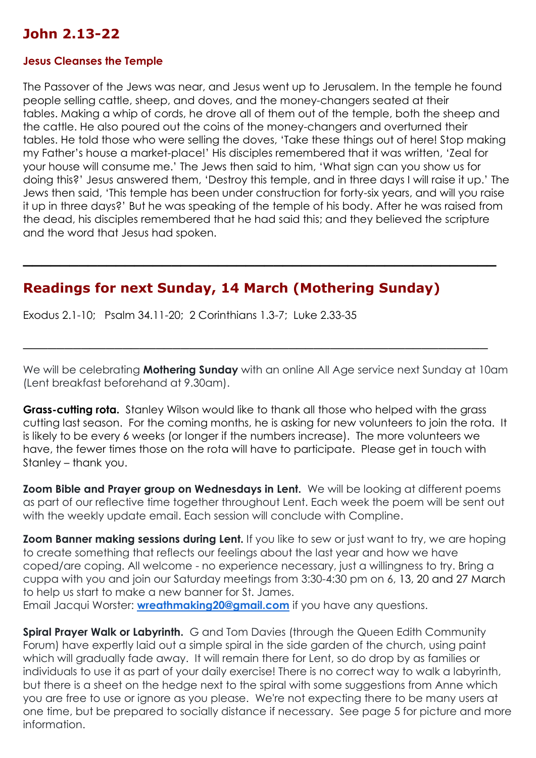# **John 2.13-22**

#### **Jesus Cleanses the Temple**

The Passover of the Jews was near, and Jesus went up to Jerusalem. In the temple he found people selling cattle, sheep, and doves, and the money-changers seated at their tables. Making a whip of cords, he drove all of them out of the temple, both the sheep and the cattle. He also poured out the coins of the money-changers and overturned their tables. He told those who were selling the doves, 'Take these things out of here! Stop making my Father's house a market-place!' His disciples remembered that it was written, 'Zeal for your house will consume me.' The Jews then said to him, 'What sign can you show us for doing this?' Jesus answered them, 'Destroy this temple, and in three days I will raise it up.' The Jews then said, 'This temple has been under construction for forty-six years, and will you raise it up in three days?' But he was speaking of the temple of his body. After he was raised from the dead, his disciples remembered that he had said this; and they believed the scripture and the word that Jesus had spoken.

**\_\_\_\_\_\_\_\_\_\_\_\_\_\_\_\_\_\_\_\_\_\_\_\_\_\_\_\_\_\_\_\_\_\_\_\_\_\_\_\_\_\_\_\_\_\_\_\_\_\_\_**

# **Readings for next Sunday, 14 March (Mothering Sunday)**

Exodus 2.1-10; Psalm 34.11-20; 2 Corinthians 1.3-7; Luke 2.33-35

We will be celebrating **Mothering Sunday** with an online All Age service next Sunday at 10am (Lent breakfast beforehand at 9.30am).

\_\_\_\_\_\_\_\_\_\_\_\_\_\_\_\_\_\_\_\_\_\_\_\_\_\_\_\_\_\_\_\_\_\_\_\_\_\_\_\_\_\_\_\_\_\_\_\_\_\_\_\_\_\_\_\_

**Grass-cutting rota.** Stanley Wilson would like to thank all those who helped with the grass cutting last season. For the coming months, he is asking for new volunteers to join the rota. It is likely to be every 6 weeks (or longer if the numbers increase). The more volunteers we have, the fewer times those on the rota will have to participate. Please get in touch with Stanley – thank you.

**Zoom Bible and Prayer group on Wednesdays in Lent.** We will be looking at different poems as part of our reflective time together throughout Lent. Each week the poem will be sent out with the weekly update email. Each session will conclude with Compline.

**Zoom Banner making sessions during Lent.** If you like to sew or just want to try, we are hoping to create something that reflects our feelings about the last year and how we have coped/are coping. All welcome - no experience necessary, just a willingness to try. Bring a cuppa with you and join our Saturday meetings from 3:30-4:30 pm on 6, 13, 20 and 27 March to help us start to make a new banner for St. James.

Email Jacqui Worster: **[wreathmaking20@gmail.com](mailto:wreathmaking20@gmail.com)** if you have any questions.

**Spiral Prayer Walk or Labyrinth.** G and Tom Davies (through the Queen Edith Community Forum) have expertly laid out a simple spiral in the side garden of the church, using paint which will gradually fade away. It will remain there for Lent, so do drop by as families or individuals to use it as part of your daily exercise! There is no correct way to walk a labyrinth, but there is a sheet on the hedge next to the spiral with some suggestions from Anne which you are free to use or ignore as you please. We're not expecting there to be many users at one time, but be prepared to socially distance if necessary. See page 5 for picture and more information.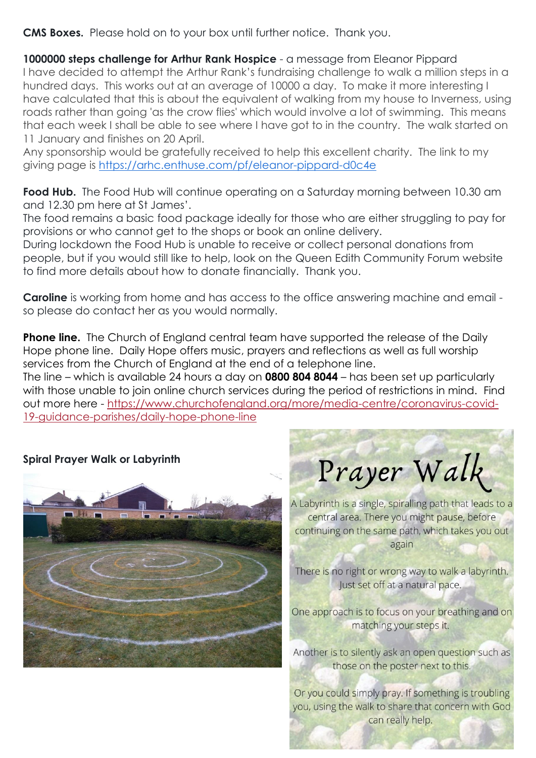**CMS Boxes.** Please hold on to your box until further notice. Thank you.

**1000000 steps challenge for Arthur Rank Hospice** - a message from Eleanor Pippard I have decided to attempt the Arthur Rank's fundraising challenge to walk a million steps in a hundred days. This works out at an average of 10000 a day. To make it more interesting I have calculated that this is about the equivalent of walking from my house to Inverness, using roads rather than going 'as the crow flies' which would involve a lot of swimming. This means that each week I shall be able to see where I have got to in the country. The walk started on 11 January and finishes on 20 April.

Any sponsorship would be gratefully received to help this excellent charity. The link to my giving page is <https://arhc.enthuse.com/pf/eleanor-pippard-d0c4e>

**Food Hub.** The Food Hub will continue operating on a Saturday morning between 10.30 am and 12.30 pm here at St James'.

The food remains a basic food package ideally for those who are either struggling to pay for provisions or who cannot get to the shops or book an online delivery.

During lockdown the Food Hub is unable to receive or collect personal donations from people, but if you would still like to help, look on the Queen Edith Community Forum website to find more details about how to donate financially. Thank you.

**Caroline** is working from home and has access to the office answering machine and email so please do contact her as you would normally.

**Phone line.** The Church of England central team have supported the release of the Daily Hope phone line. Daily Hope offers music, prayers and reflections as well as full worship services from the Church of England at the end of a telephone line.

The line – which is available 24 hours a day on **0800 804 8044** – has been set up particularly with those unable to join online church services during the period of restrictions in mind. Find out more here - [https://www.churchofengland.org/more/media-centre/coronavirus-covid-](https://www.churchofengland.org/more/media-centre/coronavirus-covid-19-guidance-parishes/daily-hope-phone-line)[19-guidance-parishes/daily-hope-phone-line](https://www.churchofengland.org/more/media-centre/coronavirus-covid-19-guidance-parishes/daily-hope-phone-line)

#### **Spiral Prayer Walk or Labyrinth**



Prayer Walk

A Labyrinth is a single, spiralling path that leads to a central area. There you might pause, before continuing on the same path, which takes you out again

There is no right or wrong way to walk a labyrinth. Just set off at a natural pace.

One approach is to focus on your breathing and on matching your steps it.

Another is to silently ask an open question such as those on the poster next to this.

Or you could simply pray. If something is troubling you, using the walk to share that concern with God can really help.